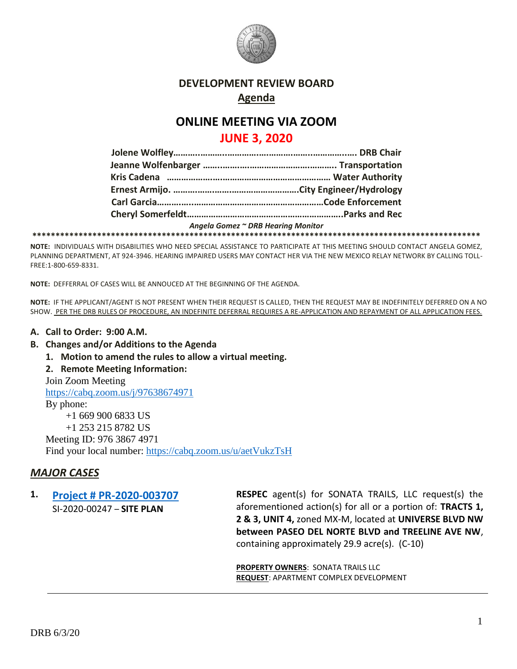

### **DEVELOPMENT REVIEW BOARD Agenda**

# **ONLINE MEETING VIA ZOOM**

## **JUNE 3, 2020**

|  | Angela Gomez ~ DRB Hearing Monitor |
|--|------------------------------------|
|  |                                    |

**NOTE:** INDIVIDUALS WITH DISABILITIES WHO NEED SPECIAL ASSISTANCE TO PARTICIPATE AT THIS MEETING SHOULD CONTACT ANGELA GOMEZ, PLANNING DEPARTMENT, AT 924-3946. HEARING IMPAIRED USERS MAY CONTACT HER VIA THE NEW MEXICO RELAY NETWORK BY CALLING TOLL-FREE:1-800-659-8331.

**NOTE:** DEFFERRAL OF CASES WILL BE ANNOUCED AT THE BEGINNING OF THE AGENDA.

**NOTE:** IF THE APPLICANT/AGENT IS NOT PRESENT WHEN THEIR REQUEST IS CALLED, THEN THE REQUEST MAY BE INDEFINITELY DEFERRED ON A NO SHOW. PER THE DRB RULES OF PROCEDURE, AN INDEFINITE DEFERRAL REQUIRES A RE-APPLICATION AND REPAYMENT OF ALL APPLICATION FEES.

### **A. Call to Order: 9:00 A.M.**

- **B. Changes and/or Additions to the Agenda**
	- **1. Motion to amend the rules to allow a virtual meeting.**
	- **2. Remote Meeting Information:**

Join Zoom Meeting <https://cabq.zoom.us/j/97638674971> By phone: +1 669 900 6833 US +1 253 215 8782 US Meeting ID: 976 3867 4971 Find your local number:<https://cabq.zoom.us/u/aetVukzTsH>

## *MAJOR CASES*

#### **1. [Project # PR-2020-003707](http://data.cabq.gov/government/planning/DRB/PR-2020-003707/DRB%20Submittals/PR-2020-003707_June_3_2020/Application/Final%20Package%20200430.pdf)** SI-2020-00247 – **SITE PLAN**

**RESPEC** agent(s) for SONATA TRAILS, LLC request(s) the aforementioned action(s) for all or a portion of: **TRACTS 1, 2 & 3, UNIT 4,** zoned MX-M, located at **UNIVERSE BLVD NW between PASEO DEL NORTE BLVD and TREELINE AVE NW**, containing approximately 29.9 acre(s). (C-10)

**PROPERTY OWNERS: SONATA TRAILS LLC REQUEST**: APARTMENT COMPLEX DEVELOPMENT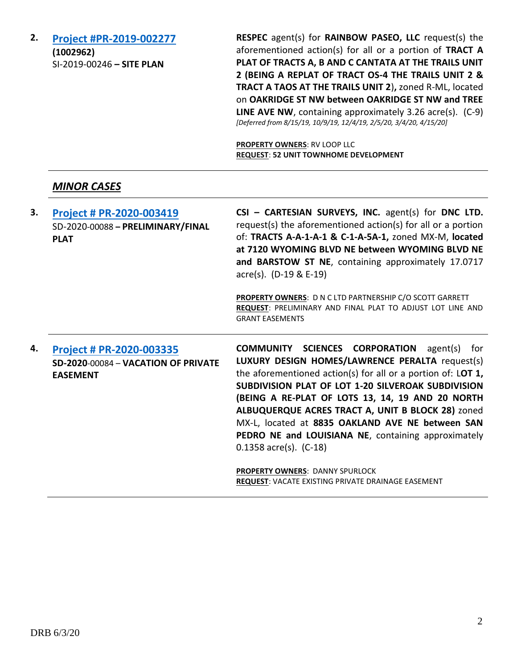**2. [Project #PR-2019-002277](http://data.cabq.gov/government/planning/DRB/PR-2019-002277/DRB%20Submittals/PR-2019-002277_Oct_9_2019/Application/03662-SITE%20PLAN.pdf) (1002962)** SI-2019-00246 **– SITE PLAN**

**RESPEC** agent(s) for **RAINBOW PASEO, LLC** request(s) the aforementioned action(s) for all or a portion of **TRACT A PLAT OF TRACTS A, B AND C CANTATA AT THE TRAILS UNIT 2 (BEING A REPLAT OF TRACT OS-4 THE TRAILS UNIT 2 & TRACT A TAOS AT THE TRAILS UNIT 2**)**,** zoned R-ML, located on **OAKRIDGE ST NW between OAKRIDGE ST NW and TREE LINE AVE NW**, containing approximately 3.26 acre(s). (C-9) *[Deferred from 8/15/19, 10/9/19, 12/4/19, 2/5/20, 3/4/20, 4/15/20]*

**PROPERTY OWNERS**: RV LOOP LLC **REQUEST**: **52 UNIT TOWNHOME DEVELOPMENT**

### *MINOR CASES*

| 3. | Project # PR-2020-003419<br>SD-2020-00088 - PRELIMINARY/FINAL<br><b>PLAT</b>              | $CSI$ – CARTESIAN SURVEYS, INC. agent(s) for DNC LTD.<br>request(s) the aforementioned action(s) for all or a portion<br>of: TRACTS A-A-1-A-1 & C-1-A-5A-1, zoned MX-M, located<br>at 7120 WYOMING BLVD NE between WYOMING BLVD NE<br>and BARSTOW ST NE, containing approximately 17.0717<br>$\arccos(5)$ . (D-19 & E-19)<br>PROPERTY OWNERS: D N C LTD PARTNERSHIP C/O SCOTT GARRETT<br>REQUEST: PRELIMINARY AND FINAL PLAT TO ADJUST LOT LINE AND<br><b>GRANT EASEMENTS</b>    |
|----|-------------------------------------------------------------------------------------------|----------------------------------------------------------------------------------------------------------------------------------------------------------------------------------------------------------------------------------------------------------------------------------------------------------------------------------------------------------------------------------------------------------------------------------------------------------------------------------|
| 4. | <b>Project # PR-2020-003335</b><br>SD-2020-00084 - VACATION OF PRIVATE<br><b>EASEMENT</b> | <b>COMMUNITY SCIENCES CORPORATION</b> agent(s) for<br>LUXURY DESIGN HOMES/LAWRENCE PERALTA request(s)<br>the aforementioned action(s) for all or a portion of: LOT $1$ ,<br>SUBDIVISION PLAT OF LOT 1-20 SILVEROAK SUBDIVISION<br>(BEING A RE-PLAT OF LOTS 13, 14, 19 AND 20 NORTH<br>ALBUQUERQUE ACRES TRACT A, UNIT B BLOCK 28) zoned<br>MX-L, located at 8835 OAKLAND AVE NE between SAN<br>PEDRO NE and LOUISIANA NE, containing approximately<br>$0.1358$ acre(s). $(C-18)$ |

**PROPERTY OWNERS**: DANNY SPURLOCK **REQUEST**: VACATE EXISTING PRIVATE DRAINAGE EASEMENT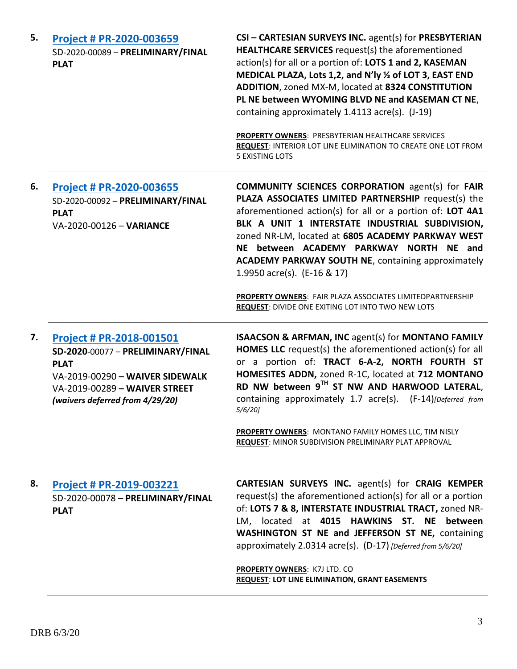| 5. | Project # PR-2020-003659<br>SD-2020-00089 - PRELIMINARY/FINAL<br><b>PLAT</b>                                                                                                        | CSI - CARTESIAN SURVEYS INC. agent(s) for PRESBYTERIAN<br><b>HEALTHCARE SERVICES</b> request(s) the aforementioned<br>action(s) for all or a portion of: LOTS 1 and 2, KASEMAN<br>MEDICAL PLAZA, Lots 1,2, and N'ly 1/2 of LOT 3, EAST END<br>ADDITION, zoned MX-M, located at 8324 CONSTITUTION<br>PL NE between WYOMING BLVD NE and KASEMAN CT NE,<br>containing approximately 1.4113 acre(s). (J-19)<br>PROPERTY OWNERS: PRESBYTERIAN HEALTHCARE SERVICES<br>REQUEST: INTERIOR LOT LINE ELIMINATION TO CREATE ONE LOT FROM<br><b>5 EXISTING LOTS</b> |
|----|-------------------------------------------------------------------------------------------------------------------------------------------------------------------------------------|---------------------------------------------------------------------------------------------------------------------------------------------------------------------------------------------------------------------------------------------------------------------------------------------------------------------------------------------------------------------------------------------------------------------------------------------------------------------------------------------------------------------------------------------------------|
| 6. | Project # PR-2020-003655<br>SD-2020-00092 - PRELIMINARY/FINAL<br><b>PLAT</b><br>VA-2020-00126 - VARIANCE                                                                            | <b>COMMUNITY SCIENCES CORPORATION agent(s) for FAIR</b><br>PLAZA ASSOCIATES LIMITED PARTNERSHIP request(s) the<br>aforementioned action(s) for all or a portion of: LOT 4A1<br>BLK A UNIT 1 INTERSTATE INDUSTRIAL SUBDIVISION,<br>zoned NR-LM, located at 6805 ACADEMY PARKWAY WEST<br>NE between ACADEMY PARKWAY NORTH NE and<br><b>ACADEMY PARKWAY SOUTH NE, containing approximately</b><br>1.9950 acre(s). (E-16 & 17)<br>PROPERTY OWNERS: FAIR PLAZA ASSOCIATES LIMITEDPARTNERSHIP<br><b>REQUEST: DIVIDE ONE EXITING LOT INTO TWO NEW LOTS</b>     |
| 7. | Project # PR-2018-001501<br>SD-2020-00077 - PRELIMINARY/FINAL<br><b>PLAT</b><br>VA-2019-00290 - WAIVER SIDEWALK<br>VA-2019-00289 - WAIVER STREET<br>(waivers deferred from 4/29/20) | <b>ISAACSON &amp; ARFMAN, INC agent(s) for MONTANO FAMILY</b><br><b>HOMES LLC</b> request(s) the aforementioned action(s) for all<br>or a portion of: TRACT 6-A-2, NORTH FOURTH ST<br>HOMESITES ADDN, zoned R-1C, located at 712 MONTANO<br>RD NW between 9TH ST NW AND HARWOOD LATERAL,<br>containing approximately 1.7 acre(s). (F-14)[Deferred from<br>$5/6/20$ ]<br><b>PROPERTY OWNERS: MONTANO FAMILY HOMES LLC, TIM NISLY</b><br>REQUEST: MINOR SUBDIVISION PRELIMINARY PLAT APPROVAL                                                             |
| 8. | <b>Project # PR-2019-003221</b><br>SD-2020-00078 - PRELIMINARY/FINAL<br><b>PLAT</b>                                                                                                 | CARTESIAN SURVEYS INC. agent(s) for CRAIG KEMPER<br>request(s) the aforementioned action(s) for all or a portion<br>of: LOTS 7 & 8, INTERSTATE INDUSTRIAL TRACT, zoned NR-<br>located<br>at 4015 HAWKINS ST. NE<br>between<br>LM,<br><b>WASHINGTON ST NE and JEFFERSON ST NE, containing</b><br>approximately 2.0314 acre(s). (D-17) [Deferred from 5/6/20]<br>PROPERTY OWNERS: K7J LTD. CO<br><b>REQUEST: LOT LINE ELIMINATION, GRANT EASEMENTS</b>                                                                                                    |